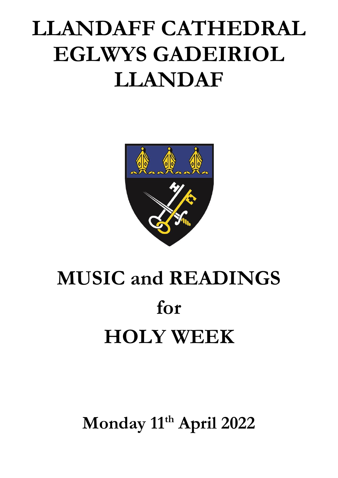## **LLANDAFF CATHEDRAL EGLWYS GADEIRIOL LLANDAF**



# **MUSIC and READINGS for HOLY WEEK**

**Monday 11 th April 2022**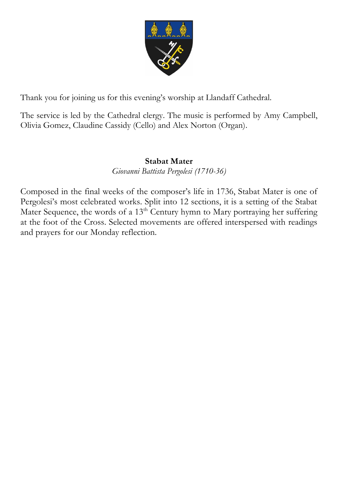

Thank you for joining us for this evening's worship at Llandaff Cathedral.

The service is led by the Cathedral clergy. The music is performed by Amy Campbell, Olivia Gomez, Claudine Cassidy (Cello) and Alex Norton (Organ).

## **Stabat Mater**

*Giovanni Battista Pergolesi (1710-36)*

Composed in the final weeks of the composer's life in 1736, Stabat Mater is one of Pergolesi's most celebrated works. Split into 12 sections, it is a setting of the Stabat Mater Sequence, the words of a 13<sup>th</sup> Century hymn to Mary portraying her suffering at the foot of the Cross. Selected movements are offered interspersed with readings and prayers for our Monday reflection.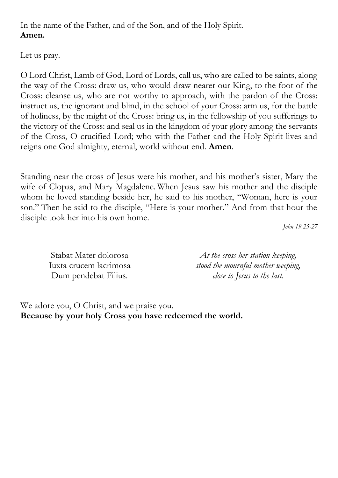In the name of the Father, and of the Son, and of the Holy Spirit. **Amen.**

Let us pray.

O Lord Christ, Lamb of God, Lord of Lords, call us, who are called to be saints, along the way of the Cross: draw us, who would draw nearer our King, to the foot of the Cross: cleanse us, who are not worthy to approach, with the pardon of the Cross: instruct us, the ignorant and blind, in the school of your Cross: arm us, for the battle of holiness, by the might of the Cross: bring us, in the fellowship of you sufferings to the victory of the Cross: and seal us in the kingdom of your glory among the servants of the Cross, O crucified Lord; who with the Father and the Holy Spirit lives and reigns one God almighty, eternal, world without end. **Amen**.

Standing near the cross of Jesus were his mother, and his mother's sister, Mary the wife of Clopas, and Mary Magdalene. When Jesus saw his mother and the disciple whom he loved standing beside her, he said to his mother, "Woman, here is your son." Then he said to the disciple, "Here is your mother." And from that hour the disciple took her into his own home.

*John 19.25-27*

| Stabat Mater dolorosa  | At the cross her station keeping,  |
|------------------------|------------------------------------|
| Iuxta crucem lacrimosa | stood the mournful mother weeping, |
| Dum pendebat Filius.   | close to Jesus to the last.        |

We adore you, O Christ, and we praise you. **Because by your holy Cross you have redeemed the world.**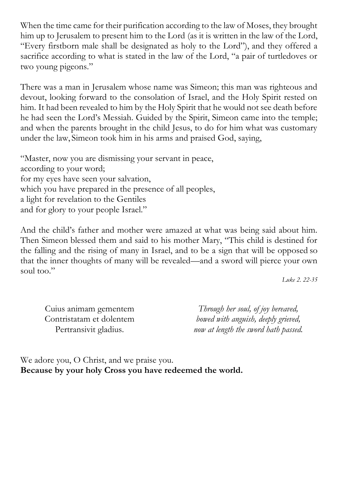When the time came for their purification according to the law of Moses, they brought him up to Jerusalem to present him to the Lord (as it is written in the law of the Lord, "Every firstborn male shall be designated as holy to the Lord"), and they offered a sacrifice according to what is stated in the law of the Lord, "a pair of turtledoves or two young pigeons."

There was a man in Jerusalem whose name was Simeon; this man was righteous and devout, looking forward to the consolation of Israel, and the Holy Spirit rested on him. It had been revealed to him by the Holy Spirit that he would not see death before he had seen the Lord's Messiah. Guided by the Spirit, Simeon came into the temple; and when the parents brought in the child Jesus, to do for him what was customary under the law, Simeon took him in his arms and praised God, saying,

"Master, now you are dismissing your servant in peace, according to your word; for my eyes have seen your salvation, which you have prepared in the presence of all peoples, a light for revelation to the Gentiles and for glory to your people Israel."

And the child's father and mother were amazed at what was being said about him. Then Simeon blessed them and said to his mother Mary, "This child is destined for the falling and the rising of many in Israel, and to be a sign that will be opposed so that the inner thoughts of many will be revealed—and a sword will pierce your own soul too."

*Luke 2. 22-35*

Cuius animam gementem Contristatam et dolentem Pertransivit gladius.

*Through her soul, of joy bereaved, bowed with anguish, deeply grieved, now at length the sword hath passed.*

We adore you, O Christ, and we praise you. **Because by your holy Cross you have redeemed the world.**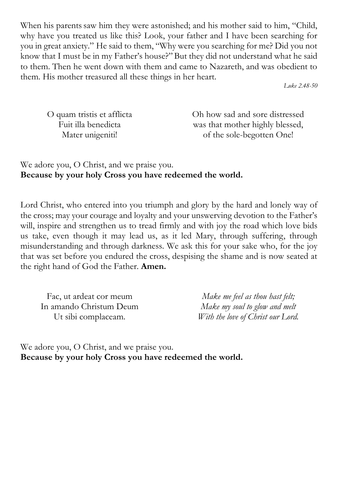When his parents saw him they were astonished; and his mother said to him, "Child, why have you treated us like this? Look, your father and I have been searching for you in great anxiety." He said to them, "Why were you searching for me? Did you not know that I must be in my Father's house?" But they did not understand what he said to them. Then he went down with them and came to Nazareth, and was obedient to them. His mother treasured all these things in her heart.

*Luke 2.48-50*

| O quam tristis et afflicta |  |
|----------------------------|--|
| Fuit illa benedicta        |  |
| Mater unigeniti!           |  |

Oh how sad and sore distressed was that mother highly blessed, of the sole-begotten One!

We adore you, O Christ, and we praise you. **Because by your holy Cross you have redeemed the world.**

Lord Christ, who entered into you triumph and glory by the hard and lonely way of the cross; may your courage and loyalty and your unswerving devotion to the Father's will, inspire and strengthen us to tread firmly and with joy the road which love bids us take, even though it may lead us, as it led Mary, through suffering, through misunderstanding and through darkness. We ask this for your sake who, for the joy that was set before you endured the cross, despising the shame and is now seated at the right hand of God the Father. **Amen.**

Fac, ut ardeat cor meum In amando Christum Deum Ut sibi complaceam.

*Make me feel as thou hast felt; Make my soul to glow and melt With the love of Christ our Lord.*

We adore you, O Christ, and we praise you. **Because by your holy Cross you have redeemed the world.**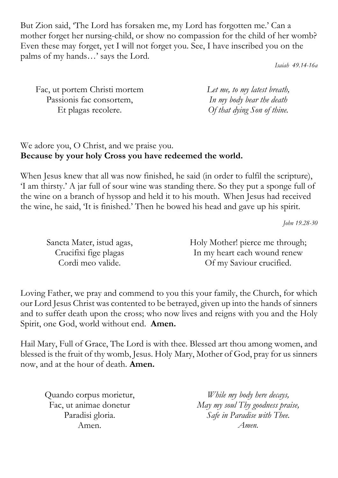But Zion said, 'The Lord has forsaken me, my Lord has forgotten me.' Can a mother forget her nursing-child, or show no compassion for the child of her womb? Even these may forget, yet I will not forget you. See, I have inscribed you on the palms of my hands…' says the Lord.

*Isaiah 49.14-16a*

| Fac, ut portem Christi mortem | Let me, to my latest breath, |
|-------------------------------|------------------------------|
| Passionis fac consortem,      | In my body bear the death    |
| Et plagas recolere.           | Of that dying Son of thine.  |

## We adore you, O Christ, and we praise you. **Because by your holy Cross you have redeemed the world.**

When Jesus knew that all was now finished, he said (in order to fulfil the scripture), 'I am thirsty.' A jar full of sour wine was standing there. So they put a sponge full of the wine on a branch of hyssop and held it to his mouth. When Jesus had received the wine, he said, 'It is finished.' Then he bowed his head and gave up his spirit.

*John 19.28-30*

| Sancta Mater, istud agas, | Holy Mother! pierce me through; |
|---------------------------|---------------------------------|
| Crucifixi fige plagas     | In my heart each wound renew    |
| Cordi meo valide.         | Of my Saviour crucified.        |

Loving Father, we pray and commend to you this your family, the Church, for which our Lord Jesus Christ was contented to be betrayed, given up into the hands of sinners and to suffer death upon the cross; who now lives and reigns with you and the Holy Spirit, one God, world without end. **Amen.**

Hail Mary, Full of Grace, The Lord is with thee. Blessed art thou among women, and blessed is the fruit of thy womb, Jesus. Holy Mary, Mother of God, pray for us sinners now, and at the hour of death. **Amen.** 

Quando corpus morietur, Fac, ut animae donetur Paradisi gloria. Amen.

*While my body here decays, May my soul Thy goodness praise, Safe in Paradise with Thee. Amen.*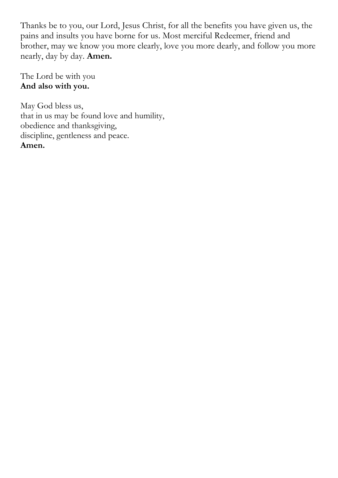Thanks be to you, our Lord, Jesus Christ, for all the benefits you have given us, the pains and insults you have borne for us. Most merciful Redeemer, friend and brother, may we know you more clearly, love you more dearly, and follow you more nearly, day by day. **Amen.** 

The Lord be with you **And also with you.**

May God bless us, that in us may be found love and humility, obedience and thanksgiving, discipline, gentleness and peace. **Amen.**